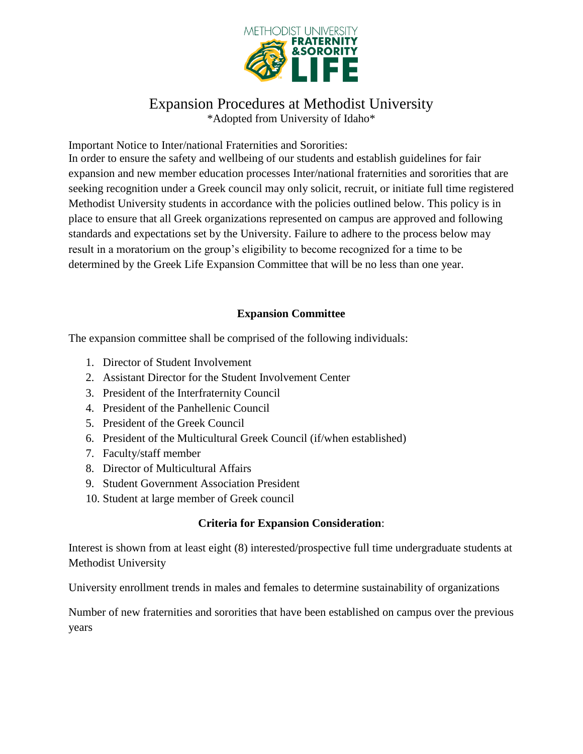

# Expansion Procedures at Methodist University

\*Adopted from University of Idaho\*

Important Notice to Inter/national Fraternities and Sororities:

In order to ensure the safety and wellbeing of our students and establish guidelines for fair expansion and new member education processes Inter/national fraternities and sororities that are seeking recognition under a Greek council may only solicit, recruit, or initiate full time registered Methodist University students in accordance with the policies outlined below. This policy is in place to ensure that all Greek organizations represented on campus are approved and following standards and expectations set by the University. Failure to adhere to the process below may result in a moratorium on the group's eligibility to become recognized for a time to be determined by the Greek Life Expansion Committee that will be no less than one year.

# **Expansion Committee**

The expansion committee shall be comprised of the following individuals:

- 1. Director of Student Involvement
- 2. Assistant Director for the Student Involvement Center
- 3. President of the Interfraternity Council
- 4. President of the Panhellenic Council
- 5. President of the Greek Council
- 6. President of the Multicultural Greek Council (if/when established)
- 7. Faculty/staff member
- 8. Director of Multicultural Affairs
- 9. Student Government Association President
- 10. Student at large member of Greek council

## **Criteria for Expansion Consideration**:

Interest is shown from at least eight (8) interested/prospective full time undergraduate students at Methodist University

University enrollment trends in males and females to determine sustainability of organizations

Number of new fraternities and sororities that have been established on campus over the previous years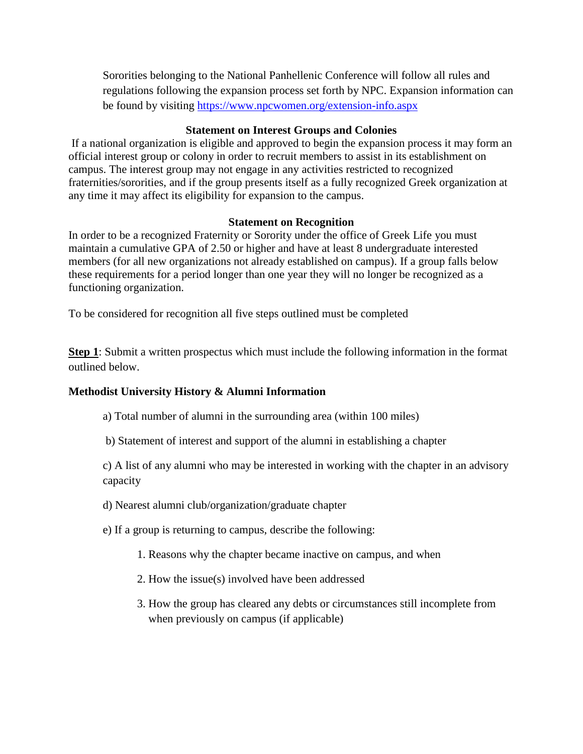Sororities belonging to the National Panhellenic Conference will follow all rules and regulations following the expansion process set forth by NPC. Expansion information can be found by visiting<https://www.npcwomen.org/extension-info.aspx>

### **Statement on Interest Groups and Colonies**

If a national organization is eligible and approved to begin the expansion process it may form an official interest group or colony in order to recruit members to assist in its establishment on campus. The interest group may not engage in any activities restricted to recognized fraternities/sororities, and if the group presents itself as a fully recognized Greek organization at any time it may affect its eligibility for expansion to the campus.

#### **Statement on Recognition**

In order to be a recognized Fraternity or Sorority under the office of Greek Life you must maintain a cumulative GPA of 2.50 or higher and have at least 8 undergraduate interested members (for all new organizations not already established on campus). If a group falls below these requirements for a period longer than one year they will no longer be recognized as a functioning organization.

To be considered for recognition all five steps outlined must be completed

**Step 1**: Submit a written prospectus which must include the following information in the format outlined below.

## **Methodist University History & Alumni Information**

a) Total number of alumni in the surrounding area (within 100 miles)

b) Statement of interest and support of the alumni in establishing a chapter

c) A list of any alumni who may be interested in working with the chapter in an advisory capacity

d) Nearest alumni club/organization/graduate chapter

e) If a group is returning to campus, describe the following:

- 1. Reasons why the chapter became inactive on campus, and when
- 2. How the issue(s) involved have been addressed
- 3. How the group has cleared any debts or circumstances still incomplete from when previously on campus (if applicable)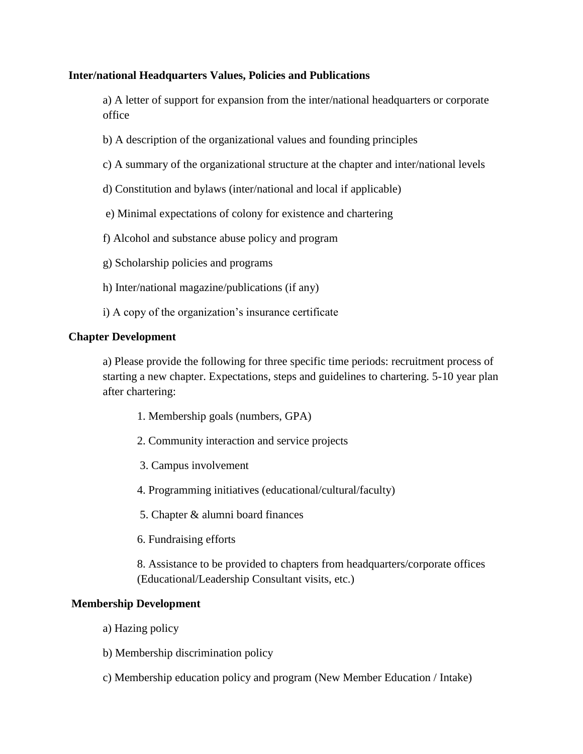#### **Inter/national Headquarters Values, Policies and Publications**

a) A letter of support for expansion from the inter/national headquarters or corporate office

- b) A description of the organizational values and founding principles
- c) A summary of the organizational structure at the chapter and inter/national levels
- d) Constitution and bylaws (inter/national and local if applicable)
- e) Minimal expectations of colony for existence and chartering
- f) Alcohol and substance abuse policy and program
- g) Scholarship policies and programs
- h) Inter/national magazine/publications (if any)
- i) A copy of the organization's insurance certificate

#### **Chapter Development**

a) Please provide the following for three specific time periods: recruitment process of starting a new chapter. Expectations, steps and guidelines to chartering. 5-10 year plan after chartering:

- 1. Membership goals (numbers, GPA)
- 2. Community interaction and service projects
- 3. Campus involvement
- 4. Programming initiatives (educational/cultural/faculty)
- 5. Chapter & alumni board finances
- 6. Fundraising efforts

8. Assistance to be provided to chapters from headquarters/corporate offices (Educational/Leadership Consultant visits, etc.)

#### **Membership Development**

- a) Hazing policy
- b) Membership discrimination policy
- c) Membership education policy and program (New Member Education / Intake)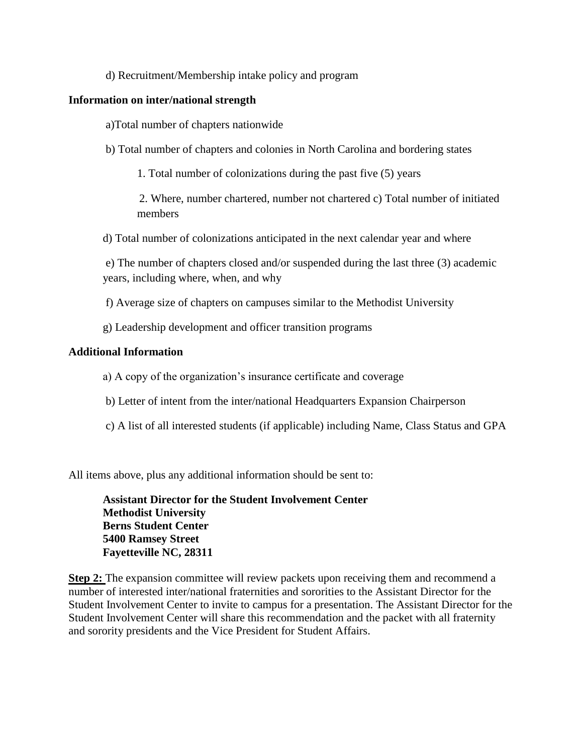#### d) Recruitment/Membership intake policy and program

#### **Information on inter/national strength**

a)Total number of chapters nationwide

b) Total number of chapters and colonies in North Carolina and bordering states

1. Total number of colonizations during the past five (5) years

2. Where, number chartered, number not chartered c) Total number of initiated members

d) Total number of colonizations anticipated in the next calendar year and where

e) The number of chapters closed and/or suspended during the last three (3) academic years, including where, when, and why

f) Average size of chapters on campuses similar to the Methodist University

g) Leadership development and officer transition programs

#### **Additional Information**

- a) A copy of the organization's insurance certificate and coverage
- b) Letter of intent from the inter/national Headquarters Expansion Chairperson
- c) A list of all interested students (if applicable) including Name, Class Status and GPA

All items above, plus any additional information should be sent to:

**Assistant Director for the Student Involvement Center Methodist University Berns Student Center 5400 Ramsey Street Fayetteville NC, 28311**

**Step 2:** The expansion committee will review packets upon receiving them and recommend a number of interested inter/national fraternities and sororities to the Assistant Director for the Student Involvement Center to invite to campus for a presentation. The Assistant Director for the Student Involvement Center will share this recommendation and the packet with all fraternity and sorority presidents and the Vice President for Student Affairs.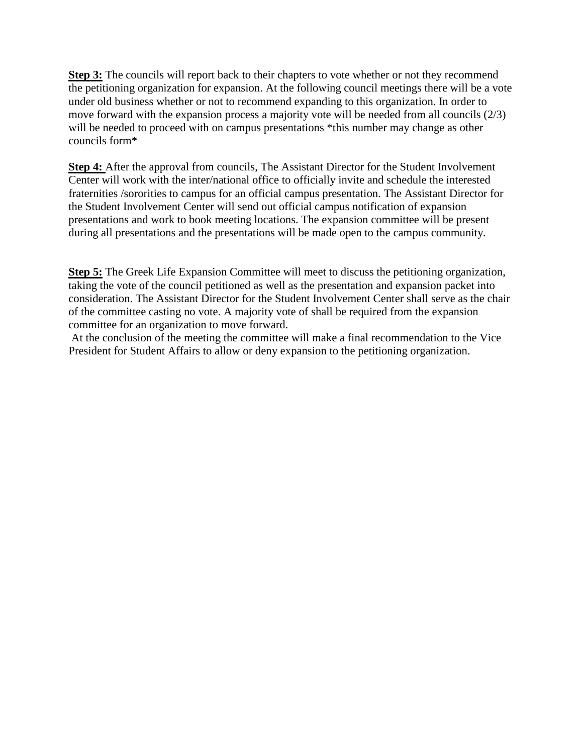**Step 3:** The councils will report back to their chapters to vote whether or not they recommend the petitioning organization for expansion. At the following council meetings there will be a vote under old business whether or not to recommend expanding to this organization. In order to move forward with the expansion process a majority vote will be needed from all councils (2/3) will be needed to proceed with on campus presentations \*this number may change as other councils form\*

**Step 4:** After the approval from councils, The Assistant Director for the Student Involvement Center will work with the inter/national office to officially invite and schedule the interested fraternities /sororities to campus for an official campus presentation. The Assistant Director for the Student Involvement Center will send out official campus notification of expansion presentations and work to book meeting locations. The expansion committee will be present during all presentations and the presentations will be made open to the campus community.

**Step 5:** The Greek Life Expansion Committee will meet to discuss the petitioning organization, taking the vote of the council petitioned as well as the presentation and expansion packet into consideration. The Assistant Director for the Student Involvement Center shall serve as the chair of the committee casting no vote. A majority vote of shall be required from the expansion committee for an organization to move forward.

At the conclusion of the meeting the committee will make a final recommendation to the Vice President for Student Affairs to allow or deny expansion to the petitioning organization.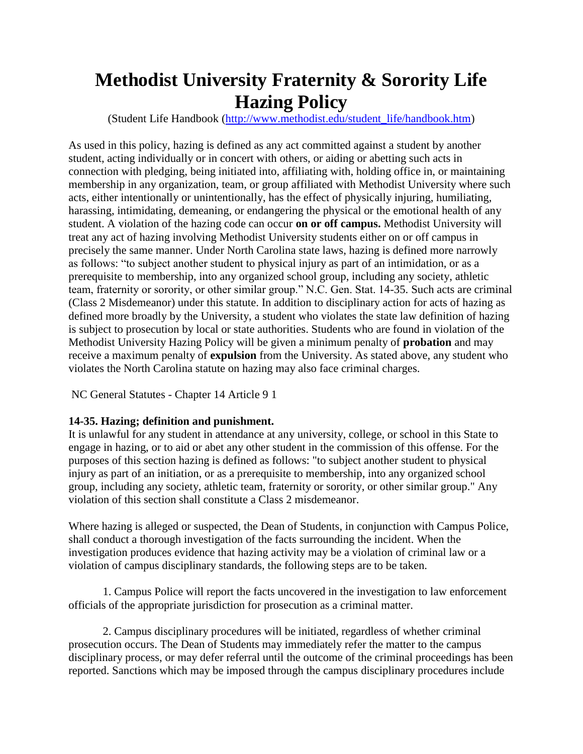# **Methodist University Fraternity & Sorority Life Hazing Policy**

(Student Life Handbook [\(http://www.methodist.edu/student\\_life/handbook.htm\)](http://www.methodist.edu/student_life/handbook.htm)

As used in this policy, hazing is defined as any act committed against a student by another student, acting individually or in concert with others, or aiding or abetting such acts in connection with pledging, being initiated into, affiliating with, holding office in, or maintaining membership in any organization, team, or group affiliated with Methodist University where such acts, either intentionally or unintentionally, has the effect of physically injuring, humiliating, harassing, intimidating, demeaning, or endangering the physical or the emotional health of any student. A violation of the hazing code can occur **on or off campus.** Methodist University will treat any act of hazing involving Methodist University students either on or off campus in precisely the same manner. Under North Carolina state laws, hazing is defined more narrowly as follows: "to subject another student to physical injury as part of an intimidation, or as a prerequisite to membership, into any organized school group, including any society, athletic team, fraternity or sorority, or other similar group." N.C. Gen. Stat. 14-35. Such acts are criminal (Class 2 Misdemeanor) under this statute. In addition to disciplinary action for acts of hazing as defined more broadly by the University, a student who violates the state law definition of hazing is subject to prosecution by local or state authorities. Students who are found in violation of the Methodist University Hazing Policy will be given a minimum penalty of **probation** and may receive a maximum penalty of **expulsion** from the University. As stated above, any student who violates the North Carolina statute on hazing may also face criminal charges.

NC General Statutes - Chapter 14 Article 9 1

## **14-35. Hazing; definition and punishment.**

It is unlawful for any student in attendance at any university, college, or school in this State to engage in hazing, or to aid or abet any other student in the commission of this offense. For the purposes of this section hazing is defined as follows: "to subject another student to physical injury as part of an initiation, or as a prerequisite to membership, into any organized school group, including any society, athletic team, fraternity or sorority, or other similar group." Any violation of this section shall constitute a Class 2 misdemeanor.

Where hazing is alleged or suspected, the Dean of Students, in conjunction with Campus Police, shall conduct a thorough investigation of the facts surrounding the incident. When the investigation produces evidence that hazing activity may be a violation of criminal law or a violation of campus disciplinary standards, the following steps are to be taken.

1. Campus Police will report the facts uncovered in the investigation to law enforcement officials of the appropriate jurisdiction for prosecution as a criminal matter.

2. Campus disciplinary procedures will be initiated, regardless of whether criminal prosecution occurs. The Dean of Students may immediately refer the matter to the campus disciplinary process, or may defer referral until the outcome of the criminal proceedings has been reported. Sanctions which may be imposed through the campus disciplinary procedures include